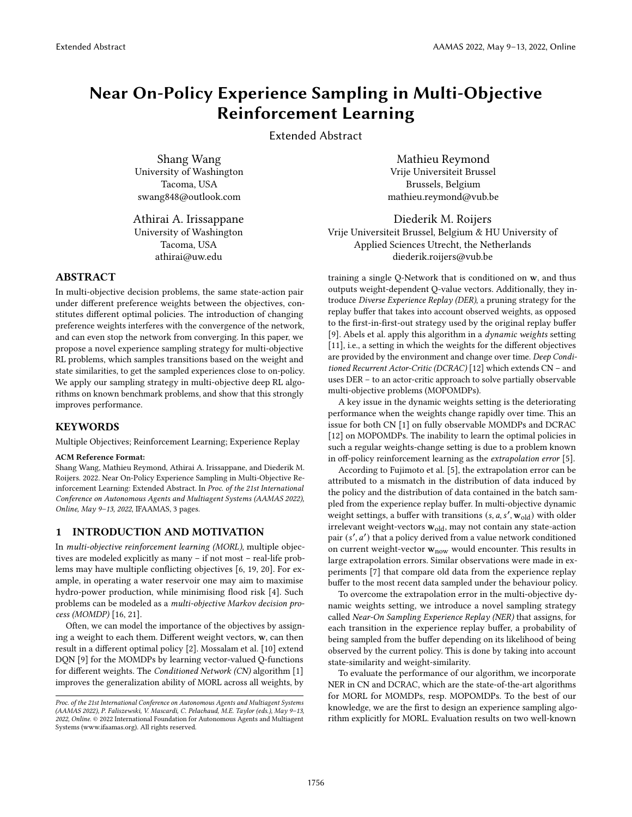# Near On-Policy Experience Sampling in Multi-Objective Reinforcement Learning

Extended Abstract

Shang Wang University of Washington Tacoma, USA swang848@outlook.com

Athirai A. Irissappane University of Washington Tacoma, USA athirai@uw.edu

# ABSTRACT

In multi-objective decision problems, the same state-action pair under different preference weights between the objectives, constitutes different optimal policies. The introduction of changing preference weights interferes with the convergence of the network, and can even stop the network from converging. In this paper, we propose a novel experience sampling strategy for multi-objective RL problems, which samples transitions based on the weight and state similarities, to get the sampled experiences close to on-policy. We apply our sampling strategy in multi-objective deep RL algorithms on known benchmark problems, and show that this strongly improves performance.

#### **KEYWORDS**

Multiple Objectives; Reinforcement Learning; Experience Replay

### ACM Reference Format:

Shang Wang, Mathieu Reymond, Athirai A. Irissappane, and Diederik M. Roijers. 2022. Near On-Policy Experience Sampling in Multi-Objective Reinforcement Learning: Extended Abstract. In Proc. of the 21st International Conference on Autonomous Agents and Multiagent Systems (AAMAS 2022), Online, May 9–13, 2022, IFAAMAS, [3](#page-2-0) pages.

### 1 INTRODUCTION AND MOTIVATION

In multi-objective reinforcement learning (MORL), multiple objectives are modeled explicitly as many – if not most – real-life problems may have multiple conflicting objectives [\[6,](#page-2-1) [19,](#page-2-2) [20\]](#page-2-3). For example, in operating a water reservoir one may aim to maximise hydro-power production, while minimising flood risk [\[4\]](#page-2-4). Such problems can be modeled as a multi-objective Markov decision process (MOMDP) [\[16,](#page-2-5) [21\]](#page-2-6).

Often, we can model the importance of the objectives by assigning a weight to each them. Different weight vectors, w, can then result in a different optimal policy [\[2\]](#page-2-7). Mossalam et al. [\[10\]](#page-2-8) extend DQN [\[9\]](#page-2-9) for the MOMDPs by learning vector-valued Q-functions for different weights. The Conditioned Network (CN) algorithm [\[1\]](#page-2-10) improves the generalization ability of MORL across all weights, by

Mathieu Reymond Vrije Universiteit Brussel Brussels, Belgium mathieu.reymond@vub.be

Diederik M. Roijers Vrije Universiteit Brussel, Belgium & HU University of Applied Sciences Utrecht, the Netherlands diederik.roijers@vub.be

training a single Q-Network that is conditioned on w, and thus outputs weight-dependent Q-value vectors. Additionally, they introduce Diverse Experience Replay (DER), a pruning strategy for the replay buffer that takes into account observed weights, as opposed to the first-in-first-out strategy used by the original replay buffer [\[9\]](#page-2-9). [Abels et al.](#page-2-10) apply this algorithm in a dynamic weights setting [\[11\]](#page-2-11), i.e., a setting in which the weights for the different objectives are provided by the environment and change over time. Deep Conditioned Recurrent Actor-Critic (DCRAC) [\[12\]](#page-2-12) which extends CN – and uses DER – to an actor-critic approach to solve partially observable multi-objective problems (MOPOMDPs).

A key issue in the dynamic weights setting is the deteriorating performance when the weights change rapidly over time. This an issue for both CN [\[1\]](#page-2-10) on fully observable MOMDPs and DCRAC [\[12\]](#page-2-12) on MOPOMDPs. The inability to learn the optimal policies in such a regular weights-change setting is due to a problem known in off-policy reinforcement learning as the extrapolation error [\[5\]](#page-2-13).

According to Fujimoto et al. [\[5\]](#page-2-13), the extrapolation error can be attributed to a mismatch in the distribution of data induced by the policy and the distribution of data contained in the batch sampled from the experience replay buffer. In multi-objective dynamic weight settings, a buffer with transitions  $(s, a, s', \mathbf{w}_{old})$  with older irrelevant weight-vectors  $\mathbf{w}_{\text{old}},$  may not contain any state-action pair (s', a') that a policy derived from a value network conditioned on current weight-vector  $w_{now}$  would encounter. This results in large extrapolation errors. Similar observations were made in experiments [\[7\]](#page-2-14) that compare old data from the experience replay buffer to the most recent data sampled under the behaviour policy.

To overcome the extrapolation error in the multi-objective dynamic weights setting, we introduce a novel sampling strategy called Near-On Sampling Experience Replay (NER) that assigns, for each transition in the experience replay buffer, a probability of being sampled from the buffer depending on its likelihood of being observed by the current policy. This is done by taking into account state-similarity and weight-similarity.

To evaluate the performance of our algorithm, we incorporate NER in CN and DCRAC, which are the state-of-the-art algorithms for MORL for MOMDPs, resp. MOPOMDPs. To the best of our knowledge, we are the first to design an experience sampling algorithm explicitly for MORL. Evaluation results on two well-known

Proc. of the 21st International Conference on Autonomous Agents and Multiagent Systems (AAMAS 2022), P. Faliszewski, V. Mascardi, C. Pelachaud, M.E. Taylor (eds.), May 9–13, 2022, Online. © 2022 International Foundation for Autonomous Agents and Multiagent Systems (www.ifaamas.org). All rights reserved.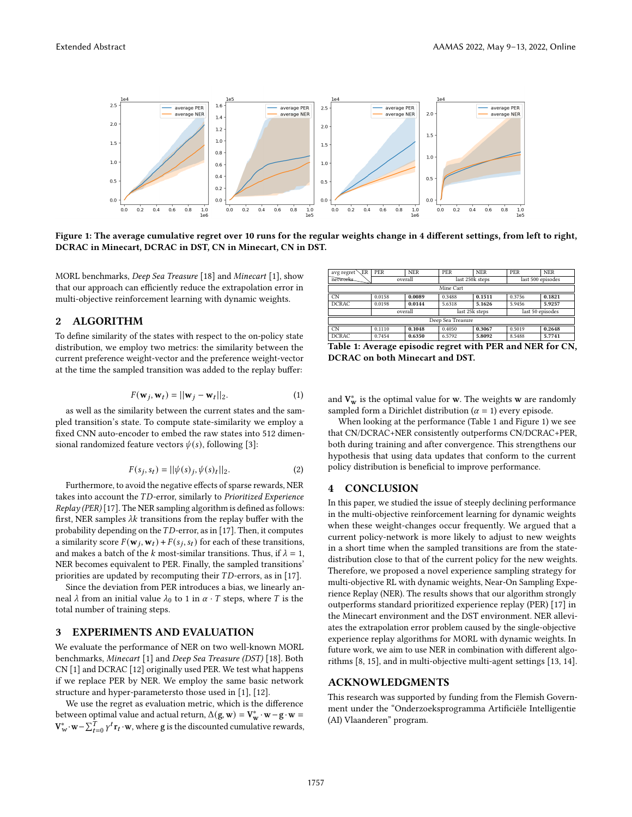<span id="page-1-1"></span>

Figure 1: The average cumulative regret over 10 runs for the regular weights change in 4 different settings, from left to right, DCRAC in Minecart, DCRAC in DST, CN in Minecart, CN in DST.

MORL benchmarks, Deep Sea Treasure [\[18\]](#page-2-15) and Minecart [\[1\]](#page-2-10), show that our approach can efficiently reduce the extrapolation error in multi-objective reinforcement learning with dynamic weights.

## 2 ALGORITHM

To define similarity of the states with respect to the on-policy state distribution, we employ two metrics: the similarity between the current preference weight-vector and the preference weight-vector at the time the sampled transition was added to the replay buffer:

$$
F(\mathbf{w}_j, \mathbf{w}_t) = ||\mathbf{w}_j - \mathbf{w}_t||_2.
$$
 (1)

as well as the similarity between the current states and the sampled transition's state. To compute state-similarity we employ a fixed CNN auto-encoder to embed the raw states into 512 dimensional randomized feature vectors  $\psi(s)$ , following [\[3\]](#page-2-16):

$$
F(s_j, s_t) = ||\psi(s)_j, \psi(s)_t||_2.
$$
 (2)

Furthermore, to avoid the negative effects of sparse rewards, NER takes into account the  $TD$ -error, similarly to Prioritized Experience  $Replay (PER) [17]$  $Replay (PER) [17]$ . The NER sampling algorithm is defined as follows: first, NER samples  $\lambda k$  transitions from the replay buffer with the probability depending on the  $TD$ -error, as in [\[17\]](#page-2-17). Then, it computes a similarity score  $F(\mathbf{w}_j, \mathbf{w}_t) + F(s_j, s_t)$  for each of these transitions, and makes a batch of the *k* most-similar transitions. Thus, if  $\lambda = 1$ , NER becomes equivalent to PER. Finally, the sampled transitions' priorities are updated by recomputing their  $TD$ -errors, as in [\[17\]](#page-2-17).

Since the deviation from PER introduces a bias, we linearly anneal  $\lambda$  from an initial value  $\lambda_0$  to 1 in  $\alpha \cdot T$  steps, where T is the total number of training steps.

## 3 EXPERIMENTS AND EVALUATION

We evaluate the performance of NER on two well-known MORL benchmarks, Minecart [\[1\]](#page-2-10) and Deep Sea Treasure (DST) [\[18\]](#page-2-15). Both CN [\[1\]](#page-2-10) and DCRAC [\[12\]](#page-2-12) originally used PER. We test what happens if we replace PER by NER. We employ the same basic network structure and hyper-parametersto those used in [\[1\]](#page-2-10), [\[12\]](#page-2-12).

We use the regret as evaluation metric, which is the difference between optimal value and actual return,  $\Delta(\mathbf{g}, \mathbf{w}) = \mathbf{V}_{\mathbf{w}}^* \cdot \mathbf{w} - \mathbf{g} \cdot \mathbf{w} =$  $\mathbf{V}_{w}^{*}\cdot\mathbf{w}-\sum_{t=0}^{\hat{T}}\gamma^{t}\mathbf{r}_{t}\cdot\mathbf{w}$ , where g is the discounted cumulative rewards,

<span id="page-1-0"></span>

| <b>ER</b><br>avg regret | PER     | <b>NER</b> | PER             | <b>NER</b> | <b>PER</b>        | <b>NER</b> |
|-------------------------|---------|------------|-----------------|------------|-------------------|------------|
| networks.               | overall |            | last 250k steps |            | last 500 episodes |            |
| Mine Cart               |         |            |                 |            |                   |            |
| CN <sub>1</sub>         | 0.0158  | 0.0089     | 0.3488          | 0.1511     | 0.3756            | 0.1821     |
| <b>DCRAC</b>            | 0.0198  | 0.0144     | 5.6318          | 5.1626     | 5.9456            | 5.9257     |
|                         | overall |            | last 25k steps  |            | last 50 episodes  |            |
| Deep Sea Treasure       |         |            |                 |            |                   |            |
| $\overline{CN}$         | 0.1110  | 0.1048     | 0.4050          | 0.3067     | 0.5019            | 0.2648     |
| <b>DCRAC</b>            | 0.7454  | 0.6350     | 6.5792          | 5.8092     | 8.5488            | 5.7741     |

Table 1: Average episodic regret with PER and NER for CN, DCRAC on both Minecart and DST.

and  $V_w^*$  is the optimal value for  $w$ . The weights  $w$  are randomly sampled form a Dirichlet distribution ( $\alpha = 1$ ) every episode.

When looking at the performance (Table [1](#page-1-0) and Figure [1\)](#page-1-1) we see that CN/DCRAC+NER consistently outperforms CN/DCRAC+PER, both during training and after convergence. This strengthens our hypothesis that using data updates that conform to the current policy distribution is beneficial to improve performance.

## 4 CONCLUSION

In this paper, we studied the issue of steeply declining performance in the multi-objective reinforcement learning for dynamic weights when these weight-changes occur frequently. We argued that a current policy-network is more likely to adjust to new weights in a short time when the sampled transitions are from the statedistribution close to that of the current policy for the new weights. Therefore, we proposed a novel experience sampling strategy for multi-objective RL with dynamic weights, Near-On Sampling Experience Replay (NER). The results shows that our algorithm strongly outperforms standard prioritized experience replay (PER) [\[17\]](#page-2-17) in the Minecart environment and the DST environment. NER alleviates the extrapolation error problem caused by the single-objective experience replay algorithms for MORL with dynamic weights. In future work, we aim to use NER in combination with different algorithms [\[8,](#page-2-18) [15\]](#page-2-19), and in multi-objective multi-agent settings [\[13,](#page-2-20) [14\]](#page-2-21).

#### ACKNOWLEDGMENTS

This research was supported by funding from the Flemish Government under the "Onderzoeksprogramma Artificiële Intelligentie (AI) Vlaanderen" program.